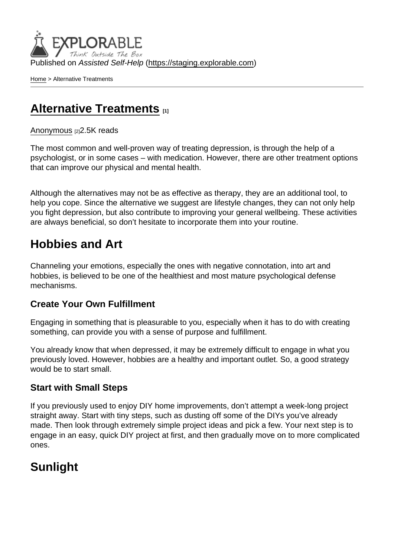Published on Assisted Self-Help [\(https://staging.explorable.com](https://staging.explorable.com))

[Home](https://staging.explorable.com/en) > Alternative Treatments

## [Alternative Treatments](https://staging.explorable.com/en/e/alternative-treatments) [1]

#### [Anonymous](https://staging.explorable.com/en/users/Liya Panayotova) [2] 2.5K reads

The most common and well-proven way of treating depression, is through the help of a psychologist, or in some cases – with medication. However, there are other treatment options that can improve our physical and mental health.

Although the alternatives may not be as effective as therapy, they are an additional tool, to help you cope. Since the alternative we suggest are lifestyle changes, they can not only help you fight depression, but also contribute to improving your general wellbeing. These activities are always beneficial, so don't hesitate to incorporate them into your routine.

## Hobbies and Art

Channeling your emotions, especially the ones with negative connotation, into art and hobbies, is believed to be one of the healthiest and most mature psychological defense mechanisms.

#### Create Your Own Fulfillment

Engaging in something that is pleasurable to you, especially when it has to do with creating something, can provide you with a sense of purpose and fulfillment.

You already know that when depressed, it may be extremely difficult to engage in what you previously loved. However, hobbies are a healthy and important outlet. So, a good strategy would be to start small.

#### Start with Small Steps

If you previously used to enjoy DIY home improvements, don't attempt a week-long project straight away. Start with tiny steps, such as dusting off some of the DIYs you've already made. Then look through extremely simple project ideas and pick a few. Your next step is to engage in an easy, quick DIY project at first, and then gradually move on to more complicated ones.

## Sunlight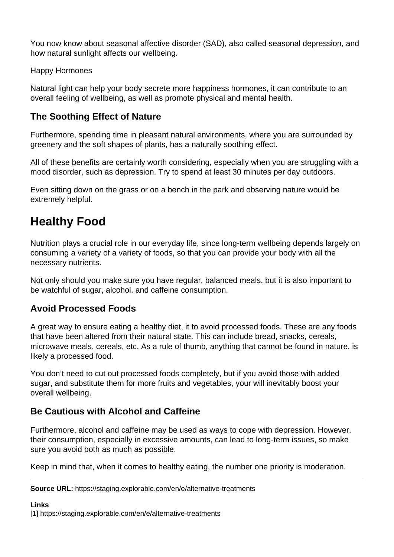You now know about seasonal affective disorder (SAD), also called seasonal depression, and how natural sunlight affects our wellbeing.

Happy Hormones

Natural light can help your body secrete more happiness hormones, it can contribute to an overall feeling of wellbeing, as well as promote physical and mental health.

### **The Soothing Effect of Nature**

Furthermore, spending time in pleasant natural environments, where you are surrounded by greenery and the soft shapes of plants, has a naturally soothing effect.

All of these benefits are certainly worth considering, especially when you are struggling with a mood disorder, such as depression. Try to spend at least 30 minutes per day outdoors.

Even sitting down on the grass or on a bench in the park and observing nature would be extremely helpful.

# **Healthy Food**

Nutrition plays a crucial role in our everyday life, since long-term wellbeing depends largely on consuming a variety of a variety of foods, so that you can provide your body with all the necessary nutrients.

Not only should you make sure you have regular, balanced meals, but it is also important to be watchful of sugar, alcohol, and caffeine consumption.

### **Avoid Processed Foods**

A great way to ensure eating a healthy diet, it to avoid processed foods. These are any foods that have been altered from their natural state. This can include bread, snacks, cereals, microwave meals, cereals, etc. As a rule of thumb, anything that cannot be found in nature, is likely a processed food.

You don't need to cut out processed foods completely, but if you avoid those with added sugar, and substitute them for more fruits and vegetables, your will inevitably boost your overall wellbeing.

### **Be Cautious with Alcohol and Caffeine**

Furthermore, alcohol and caffeine may be used as ways to cope with depression. However, their consumption, especially in excessive amounts, can lead to long-term issues, so make sure you avoid both as much as possible.

Keep in mind that, when it comes to healthy eating, the number one priority is moderation.

**Source URL:** https://staging.explorable.com/en/e/alternative-treatments